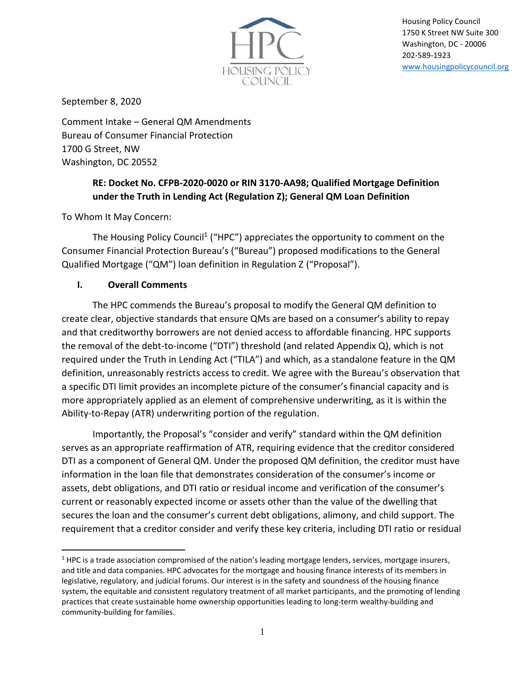

Housing Policy Council 1750 K Street NW Suite 300 Washington, DC - 20006 202-589-1923 [www.housingpolicycouncil.org](http://www.housingpolicycouncil.org/)

September 8, 2020

Comment Intake – General QM Amendments Bureau of Consumer Financial Protection 1700 G Street, NW Washington, DC 20552

# **RE: Docket No. CFPB-2020-0020 or RIN 3170-AA98; Qualified Mortgage Definition under the Truth in Lending Act (Regulation Z); General QM Loan Definition**

To Whom It May Concern:

The Housing Policy Council<sup>1</sup> ("HPC") appreciates the opportunity to comment on the Consumer Financial Protection Bureau's ("Bureau") proposed modifications to the General Qualified Mortgage ("QM") loan definition in Regulation Z ("Proposal").

### **I. Overall Comments**

The HPC commends the Bureau's proposal to modify the General QM definition to create clear, objective standards that ensure QMs are based on a consumer's ability to repay and that creditworthy borrowers are not denied access to affordable financing. HPC supports the removal of the debt-to-income ("DTI") threshold (and related Appendix Q), which is not required under the Truth in Lending Act ("TILA") and which, as a standalone feature in the QM definition, unreasonably restricts access to credit. We agree with the Bureau's observation that a specific DTI limit provides an incomplete picture of the consumer's financial capacity and is more appropriately applied as an element of comprehensive underwriting, as it is within the Ability-to-Repay (ATR) underwriting portion of the regulation.

Importantly, the Proposal's "consider and verify" standard within the QM definition serves as an appropriate reaffirmation of ATR, requiring evidence that the creditor considered DTI as a component of General QM. Under the proposed QM definition, the creditor must have information in the loan file that demonstrates consideration of the consumer's income or assets, debt obligations, and DTI ratio or residual income and verification of the consumer's current or reasonably expected income or assets other than the value of the dwelling that secures the loan and the consumer's current debt obligations, alimony, and child support. The requirement that a creditor consider and verify these key criteria, including DTI ratio or residual

 $1$  HPC is a trade association compromised of the nation's leading mortgage lenders, services, mortgage insurers, and title and data companies. HPC advocates for the mortgage and housing finance interests of its members in legislative, regulatory, and judicial forums. Our interest is in the safety and soundness of the housing finance system, the equitable and consistent regulatory treatment of all market participants, and the promoting of lending practices that create sustainable home ownership opportunities leading to long-term wealthy-building and community-building for families.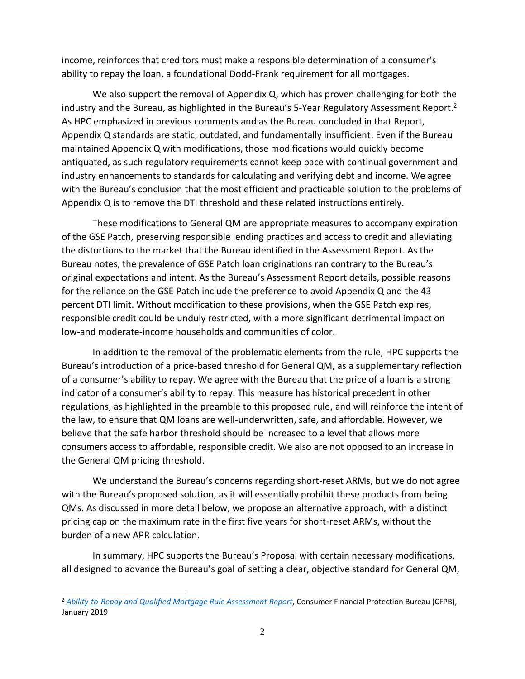income, reinforces that creditors must make a responsible determination of a consumer's ability to repay the loan, a foundational Dodd-Frank requirement for all mortgages.

We also support the removal of Appendix Q, which has proven challenging for both the industry and the Bureau, as highlighted in the Bureau's 5-Year Regulatory Assessment Report.<sup>2</sup> As HPC emphasized in previous comments and as the Bureau concluded in that Report, Appendix Q standards are static, outdated, and fundamentally insufficient. Even if the Bureau maintained Appendix Q with modifications, those modifications would quickly become antiquated, as such regulatory requirements cannot keep pace with continual government and industry enhancements to standards for calculating and verifying debt and income. We agree with the Bureau's conclusion that the most efficient and practicable solution to the problems of Appendix Q is to remove the DTI threshold and these related instructions entirely.

These modifications to General QM are appropriate measures to accompany expiration of the GSE Patch, preserving responsible lending practices and access to credit and alleviating the distortions to the market that the Bureau identified in the Assessment Report. As the Bureau notes, the prevalence of GSE Patch loan originations ran contrary to the Bureau's original expectations and intent. As the Bureau's Assessment Report details, possible reasons for the reliance on the GSE Patch include the preference to avoid Appendix Q and the 43 percent DTI limit. Without modification to these provisions, when the GSE Patch expires, responsible credit could be unduly restricted, with a more significant detrimental impact on low-and moderate-income households and communities of color.

In addition to the removal of the problematic elements from the rule, HPC supports the Bureau's introduction of a price-based threshold for General QM, as a supplementary reflection of a consumer's ability to repay. We agree with the Bureau that the price of a loan is a strong indicator of a consumer's ability to repay. This measure has historical precedent in other regulations, as highlighted in the preamble to this proposed rule, and will reinforce the intent of the law, to ensure that QM loans are well-underwritten, safe, and affordable. However, we believe that the safe harbor threshold should be increased to a level that allows more consumers access to affordable, responsible credit. We also are not opposed to an increase in the General QM pricing threshold.

We understand the Bureau's concerns regarding short-reset ARMs, but we do not agree with the Bureau's proposed solution, as it will essentially prohibit these products from being QMs. As discussed in more detail below, we propose an alternative approach, with a distinct pricing cap on the maximum rate in the first five years for short-reset ARMs, without the burden of a new APR calculation.

In summary, HPC supports the Bureau's Proposal with certain necessary modifications, all designed to advance the Bureau's goal of setting a clear, objective standard for General QM,

<sup>2</sup> *[Ability-to-Repay and Qualified Mortgage Rule Assessment](https://files.consumerfinance.gov/f/documents/cfpb_ability-to-repay-qualified-mortgage_assessment-report.pdf) Report*, Consumer Financial Protection Bureau (CFPB), January 2019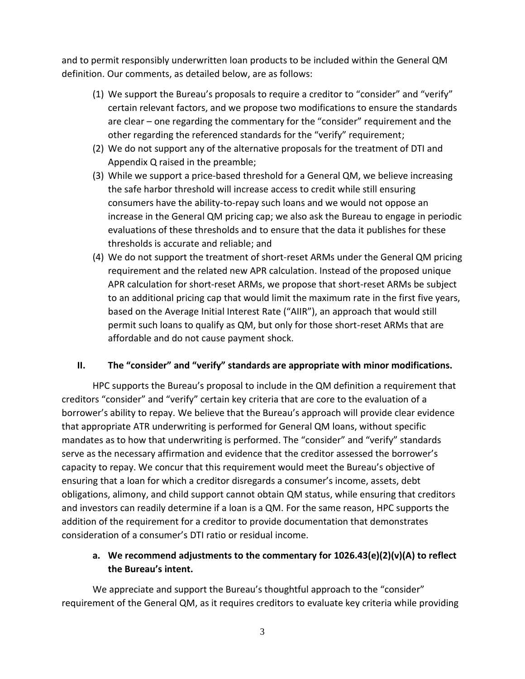and to permit responsibly underwritten loan products to be included within the General QM definition. Our comments, as detailed below, are as follows:

- (1) We support the Bureau's proposals to require a creditor to "consider" and "verify" certain relevant factors, and we propose two modifications to ensure the standards are clear – one regarding the commentary for the "consider" requirement and the other regarding the referenced standards for the "verify" requirement;
- (2) We do not support any of the alternative proposals for the treatment of DTI and Appendix Q raised in the preamble;
- (3) While we support a price-based threshold for a General QM, we believe increasing the safe harbor threshold will increase access to credit while still ensuring consumers have the ability-to-repay such loans and we would not oppose an increase in the General QM pricing cap; we also ask the Bureau to engage in periodic evaluations of these thresholds and to ensure that the data it publishes for these thresholds is accurate and reliable; and
- (4) We do not support the treatment of short-reset ARMs under the General QM pricing requirement and the related new APR calculation. Instead of the proposed unique APR calculation for short-reset ARMs, we propose that short-reset ARMs be subject to an additional pricing cap that would limit the maximum rate in the first five years, based on the Average Initial Interest Rate ("AIIR"), an approach that would still permit such loans to qualify as QM, but only for those short-reset ARMs that are affordable and do not cause payment shock.

### **II. The "consider" and "verify" standards are appropriate with minor modifications.**

HPC supports the Bureau's proposal to include in the QM definition a requirement that creditors "consider" and "verify" certain key criteria that are core to the evaluation of a borrower's ability to repay. We believe that the Bureau's approach will provide clear evidence that appropriate ATR underwriting is performed for General QM loans, without specific mandates as to how that underwriting is performed. The "consider" and "verify" standards serve as the necessary affirmation and evidence that the creditor assessed the borrower's capacity to repay. We concur that this requirement would meet the Bureau's objective of ensuring that a loan for which a creditor disregards a consumer's income, assets, debt obligations, alimony, and child support cannot obtain QM status, while ensuring that creditors and investors can readily determine if a loan is a QM. For the same reason, HPC supports the addition of the requirement for a creditor to provide documentation that demonstrates consideration of a consumer's DTI ratio or residual income.

## **a. We recommend adjustments to the commentary for 1026.43(e)(2)(v)(A) to reflect the Bureau's intent.**

We appreciate and support the Bureau's thoughtful approach to the "consider" requirement of the General QM, as it requires creditors to evaluate key criteria while providing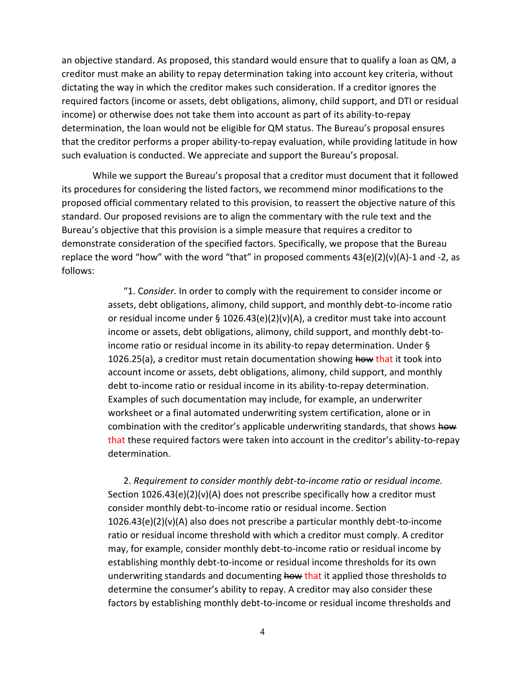an objective standard. As proposed, this standard would ensure that to qualify a loan as QM, a creditor must make an ability to repay determination taking into account key criteria, without dictating the way in which the creditor makes such consideration. If a creditor ignores the required factors (income or assets, debt obligations, alimony, child support, and DTI or residual income) or otherwise does not take them into account as part of its ability-to-repay determination, the loan would not be eligible for QM status. The Bureau's proposal ensures that the creditor performs a proper ability-to-repay evaluation, while providing latitude in how such evaluation is conducted. We appreciate and support the Bureau's proposal.

While we support the Bureau's proposal that a creditor must document that it followed its procedures for considering the listed factors, we recommend minor modifications to the proposed official commentary related to this provision, to reassert the objective nature of this standard. Our proposed revisions are to align the commentary with the rule text and the Bureau's objective that this provision is a simple measure that requires a creditor to demonstrate consideration of the specified factors. Specifically, we propose that the Bureau replace the word "how" with the word "that" in proposed comments  $43(e)(2)(v)(A)-1$  and  $-2$ , as follows:

> "1. C*onsider.* In order to comply with the requirement to consider income or assets, debt obligations, alimony, child support, and monthly debt-to-income ratio or residual income under § 1026.43(e)(2)(v)(A), a creditor must take into account income or assets, debt obligations, alimony, child support, and monthly debt-toincome ratio or residual income in its ability-to repay determination. Under § 1026.25(a), a creditor must retain documentation showing how that it took into account income or assets, debt obligations, alimony, child support, and monthly debt to-income ratio or residual income in its ability-to-repay determination. Examples of such documentation may include, for example, an underwriter worksheet or a final automated underwriting system certification, alone or in combination with the creditor's applicable underwriting standards, that shows how that these required factors were taken into account in the creditor's ability-to-repay determination.

2. *Requirement to consider monthly debt-to-income ratio or residual income.* Section 1026.43(e)(2)(v)(A) does not prescribe specifically how a creditor must consider monthly debt-to-income ratio or residual income. Section 1026.43(e)(2)(v)(A) also does not prescribe a particular monthly debt-to-income ratio or residual income threshold with which a creditor must comply. A creditor may, for example, consider monthly debt-to-income ratio or residual income by establishing monthly debt-to-income or residual income thresholds for its own underwriting standards and documenting how that it applied those thresholds to determine the consumer's ability to repay. A creditor may also consider these factors by establishing monthly debt-to-income or residual income thresholds and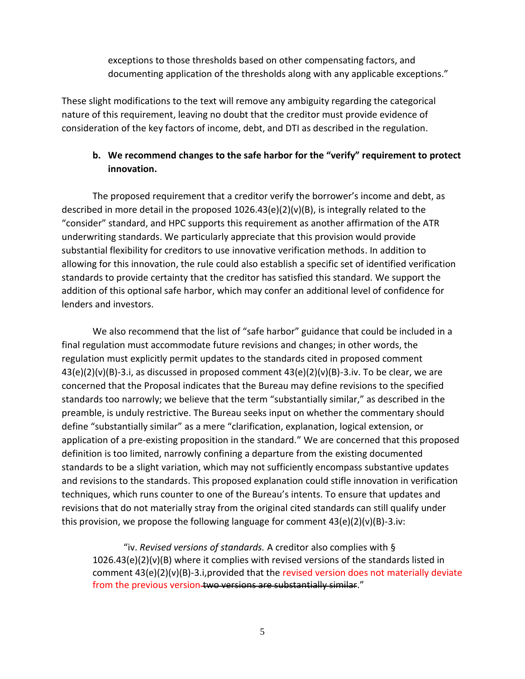exceptions to those thresholds based on other compensating factors, and documenting application of the thresholds along with any applicable exceptions."

These slight modifications to the text will remove any ambiguity regarding the categorical nature of this requirement, leaving no doubt that the creditor must provide evidence of consideration of the key factors of income, debt, and DTI as described in the regulation.

## **b. We recommend changes to the safe harbor for the "verify" requirement to protect innovation.**

The proposed requirement that a creditor verify the borrower's income and debt, as described in more detail in the proposed  $1026.43(e)(2)(v)(B)$ , is integrally related to the "consider" standard, and HPC supports this requirement as another affirmation of the ATR underwriting standards. We particularly appreciate that this provision would provide substantial flexibility for creditors to use innovative verification methods. In addition to allowing for this innovation, the rule could also establish a specific set of identified verification standards to provide certainty that the creditor has satisfied this standard. We support the addition of this optional safe harbor, which may confer an additional level of confidence for lenders and investors.

We also recommend that the list of "safe harbor" guidance that could be included in a final regulation must accommodate future revisions and changes; in other words, the regulation must explicitly permit updates to the standards cited in proposed comment  $43(e)(2)(v)(B)-3.i$ , as discussed in proposed comment  $43(e)(2)(v)(B)-3.i v$ . To be clear, we are concerned that the Proposal indicates that the Bureau may define revisions to the specified standards too narrowly; we believe that the term "substantially similar," as described in the preamble, is unduly restrictive. The Bureau seeks input on whether the commentary should define "substantially similar" as a mere "clarification, explanation, logical extension, or application of a pre-existing proposition in the standard." We are concerned that this proposed definition is too limited, narrowly confining a departure from the existing documented standards to be a slight variation, which may not sufficiently encompass substantive updates and revisions to the standards. This proposed explanation could stifle innovation in verification techniques, which runs counter to one of the Bureau's intents. To ensure that updates and revisions that do not materially stray from the original cited standards can still qualify under this provision, we propose the following language for comment  $43(e)(2)(v)(B)-3.iv$ :

"iv. *Revised versions of standards.* A creditor also complies with §  $1026.43(e)(2)(v)(B)$  where it complies with revised versions of the standards listed in comment  $43(e)(2)(v)(B)-3.i,$  provided that the revised version does not materially deviate from the previous version-two versions are substantially similar."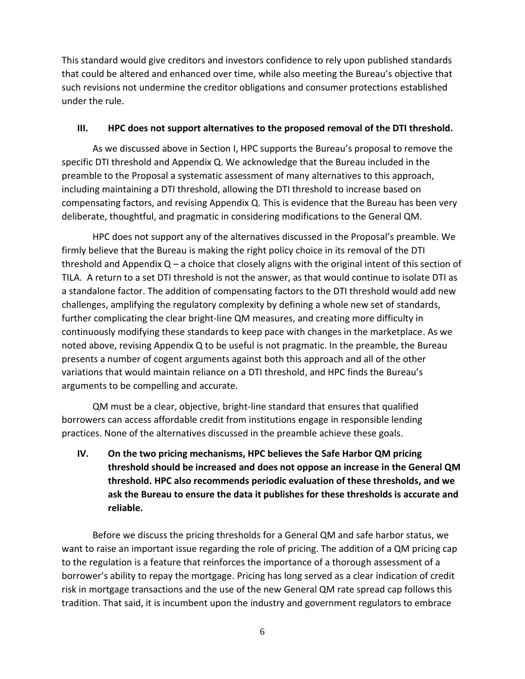This standard would give creditors and investors confidence to rely upon published standards that could be altered and enhanced over time, while also meeting the Bureau's objective that such revisions not undermine the creditor obligations and consumer protections established under the rule.

#### **III. HPC does not support alternatives to the proposed removal of the DTI threshold.**

As we discussed above in Section I, HPC supports the Bureau's proposal to remove the specific DTI threshold and Appendix Q. We acknowledge that the Bureau included in the preamble to the Proposal a systematic assessment of many alternatives to this approach, including maintaining a DTI threshold, allowing the DTI threshold to increase based on compensating factors, and revising Appendix Q. This is evidence that the Bureau has been very deliberate, thoughtful, and pragmatic in considering modifications to the General QM.

HPC does not support any of the alternatives discussed in the Proposal's preamble. We firmly believe that the Bureau is making the right policy choice in its removal of the DTI threshold and Appendix Q – a choice that closely aligns with the original intent of this section of TILA. A return to a set DTI threshold is not the answer, as that would continue to isolate DTI as a standalone factor. The addition of compensating factors to the DTI threshold would add new challenges, amplifying the regulatory complexity by defining a whole new set of standards, further complicating the clear bright-line QM measures, and creating more difficulty in continuously modifying these standards to keep pace with changes in the marketplace. As we noted above, revising Appendix Q to be useful is not pragmatic. In the preamble, the Bureau presents a number of cogent arguments against both this approach and all of the other variations that would maintain reliance on a DTI threshold, and HPC finds the Bureau's arguments to be compelling and accurate.

QM must be a clear, objective, bright-line standard that ensures that qualified borrowers can access affordable credit from institutions engage in responsible lending practices. None of the alternatives discussed in the preamble achieve these goals.

**IV. On the two pricing mechanisms, HPC believes the Safe Harbor QM pricing threshold should be increased and does not oppose an increase in the General QM threshold. HPC also recommends periodic evaluation of these thresholds, and we ask the Bureau to ensure the data it publishes for these thresholds is accurate and reliable.** 

Before we discuss the pricing thresholds for a General QM and safe harbor status, we want to raise an important issue regarding the role of pricing. The addition of a QM pricing cap to the regulation is a feature that reinforces the importance of a thorough assessment of a borrower's ability to repay the mortgage. Pricing has long served as a clear indication of credit risk in mortgage transactions and the use of the new General QM rate spread cap follows this tradition. That said, it is incumbent upon the industry and government regulators to embrace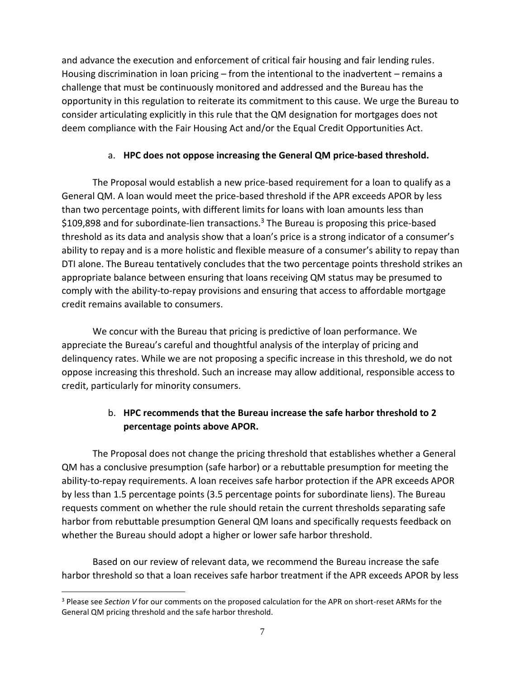and advance the execution and enforcement of critical fair housing and fair lending rules. Housing discrimination in loan pricing – from the intentional to the inadvertent – remains a challenge that must be continuously monitored and addressed and the Bureau has the opportunity in this regulation to reiterate its commitment to this cause. We urge the Bureau to consider articulating explicitly in this rule that the QM designation for mortgages does not deem compliance with the Fair Housing Act and/or the Equal Credit Opportunities Act.

## a. **HPC does not oppose increasing the General QM price-based threshold.**

The Proposal would establish a new price-based requirement for a loan to qualify as a General QM. A loan would meet the price-based threshold if the APR exceeds APOR by less than two percentage points, with different limits for loans with loan amounts less than  $$109,898$  and for subordinate-lien transactions.<sup>3</sup> The Bureau is proposing this price-based threshold as its data and analysis show that a loan's price is a strong indicator of a consumer's ability to repay and is a more holistic and flexible measure of a consumer's ability to repay than DTI alone. The Bureau tentatively concludes that the two percentage points threshold strikes an appropriate balance between ensuring that loans receiving QM status may be presumed to comply with the ability-to-repay provisions and ensuring that access to affordable mortgage credit remains available to consumers.

We concur with the Bureau that pricing is predictive of loan performance. We appreciate the Bureau's careful and thoughtful analysis of the interplay of pricing and delinquency rates. While we are not proposing a specific increase in this threshold, we do not oppose increasing this threshold. Such an increase may allow additional, responsible access to credit, particularly for minority consumers.

# b. **HPC recommends that the Bureau increase the safe harbor threshold to 2 percentage points above APOR.**

The Proposal does not change the pricing threshold that establishes whether a General QM has a conclusive presumption (safe harbor) or a rebuttable presumption for meeting the ability-to-repay requirements. A loan receives safe harbor protection if the APR exceeds APOR by less than 1.5 percentage points (3.5 percentage points for subordinate liens). The Bureau requests comment on whether the rule should retain the current thresholds separating safe harbor from rebuttable presumption General QM loans and specifically requests feedback on whether the Bureau should adopt a higher or lower safe harbor threshold.

Based on our review of relevant data, we recommend the Bureau increase the safe harbor threshold so that a loan receives safe harbor treatment if the APR exceeds APOR by less

<sup>3</sup> Please see *Section V* for our comments on the proposed calculation for the APR on short-reset ARMs for the General QM pricing threshold and the safe harbor threshold.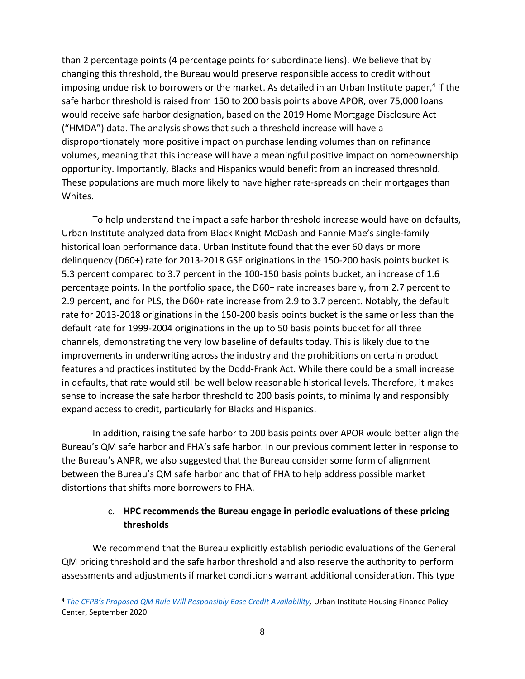than 2 percentage points (4 percentage points for subordinate liens). We believe that by changing this threshold, the Bureau would preserve responsible access to credit without imposing undue risk to borrowers or the market. As detailed in an Urban Institute paper,<sup>4</sup> if the safe harbor threshold is raised from 150 to 200 basis points above APOR, over 75,000 loans would receive safe harbor designation, based on the 2019 Home Mortgage Disclosure Act ("HMDA") data. The analysis shows that such a threshold increase will have a disproportionately more positive impact on purchase lending volumes than on refinance volumes, meaning that this increase will have a meaningful positive impact on homeownership opportunity. Importantly, Blacks and Hispanics would benefit from an increased threshold. These populations are much more likely to have higher rate-spreads on their mortgages than Whites.

To help understand the impact a safe harbor threshold increase would have on defaults, Urban Institute analyzed data from Black Knight McDash and Fannie Mae's single-family historical loan performance data. Urban Institute found that the ever 60 days or more delinquency (D60+) rate for 2013-2018 GSE originations in the 150-200 basis points bucket is 5.3 percent compared to 3.7 percent in the 100-150 basis points bucket, an increase of 1.6 percentage points. In the portfolio space, the D60+ rate increases barely, from 2.7 percent to 2.9 percent, and for PLS, the D60+ rate increase from 2.9 to 3.7 percent. Notably, the default rate for 2013-2018 originations in the 150-200 basis points bucket is the same or less than the default rate for 1999-2004 originations in the up to 50 basis points bucket for all three channels, demonstrating the very low baseline of defaults today. This is likely due to the improvements in underwriting across the industry and the prohibitions on certain product features and practices instituted by the Dodd-Frank Act. While there could be a small increase in defaults, that rate would still be well below reasonable historical levels. Therefore, it makes sense to increase the safe harbor threshold to 200 basis points, to minimally and responsibly expand access to credit, particularly for Blacks and Hispanics.

In addition, raising the safe harbor to 200 basis points over APOR would better align the Bureau's QM safe harbor and FHA's safe harbor. In our previous comment letter in response to the Bureau's ANPR, we also suggested that the Bureau consider some form of alignment between the Bureau's QM safe harbor and that of FHA to help address possible market distortions that shifts more borrowers to FHA.

## c. **HPC recommends the Bureau engage in periodic evaluations of these pricing thresholds**

We recommend that the Bureau explicitly establish periodic evaluations of the General QM pricing threshold and the safe harbor threshold and also reserve the authority to perform assessments and adjustments if market conditions warrant additional consideration. This type

<sup>4</sup> *[The CFPB's Proposed QM Rule Will Responsibly Ease Credit Availability](https://www.urban.org/sites/default/files/publication/102818/the-cfpbs-proposed-qm-rule-will-responsibly-ease-credit-availability-data-show-that-it-can-go-further_1.pdf),* Urban Institute Housing Finance Policy Center, September 2020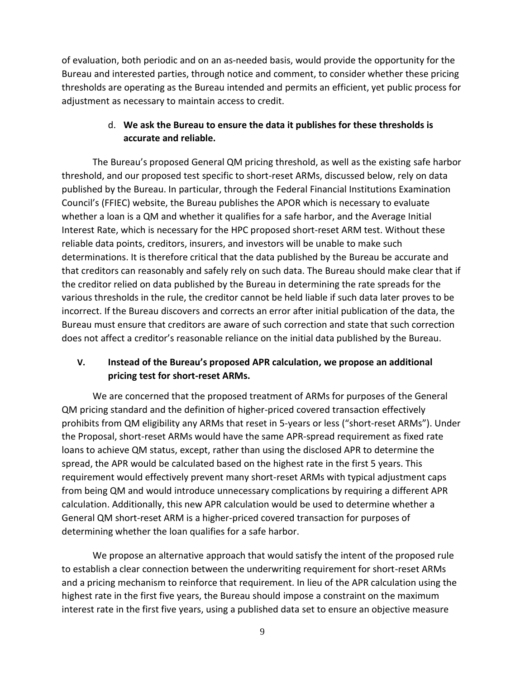of evaluation, both periodic and on an as-needed basis, would provide the opportunity for the Bureau and interested parties, through notice and comment, to consider whether these pricing thresholds are operating as the Bureau intended and permits an efficient, yet public process for adjustment as necessary to maintain access to credit.

## d. **We ask the Bureau to ensure the data it publishes for these thresholds is accurate and reliable.**

The Bureau's proposed General QM pricing threshold, as well as the existing safe harbor threshold, and our proposed test specific to short-reset ARMs, discussed below, rely on data published by the Bureau. In particular, through the Federal Financial Institutions Examination Council's (FFIEC) website, the Bureau publishes the APOR which is necessary to evaluate whether a loan is a QM and whether it qualifies for a safe harbor, and the Average Initial Interest Rate, which is necessary for the HPC proposed short-reset ARM test. Without these reliable data points, creditors, insurers, and investors will be unable to make such determinations. It is therefore critical that the data published by the Bureau be accurate and that creditors can reasonably and safely rely on such data. The Bureau should make clear that if the creditor relied on data published by the Bureau in determining the rate spreads for the various thresholds in the rule, the creditor cannot be held liable if such data later proves to be incorrect. If the Bureau discovers and corrects an error after initial publication of the data, the Bureau must ensure that creditors are aware of such correction and state that such correction does not affect a creditor's reasonable reliance on the initial data published by the Bureau.

## **V. Instead of the Bureau's proposed APR calculation, we propose an additional pricing test for short-reset ARMs.**

We are concerned that the proposed treatment of ARMs for purposes of the General QM pricing standard and the definition of higher-priced covered transaction effectively prohibits from QM eligibility any ARMs that reset in 5-years or less ("short-reset ARMs"). Under the Proposal, short-reset ARMs would have the same APR-spread requirement as fixed rate loans to achieve QM status, except, rather than using the disclosed APR to determine the spread, the APR would be calculated based on the highest rate in the first 5 years. This requirement would effectively prevent many short-reset ARMs with typical adjustment caps from being QM and would introduce unnecessary complications by requiring a different APR calculation. Additionally, this new APR calculation would be used to determine whether a General QM short-reset ARM is a higher-priced covered transaction for purposes of determining whether the loan qualifies for a safe harbor.

We propose an alternative approach that would satisfy the intent of the proposed rule to establish a clear connection between the underwriting requirement for short-reset ARMs and a pricing mechanism to reinforce that requirement. In lieu of the APR calculation using the highest rate in the first five years, the Bureau should impose a constraint on the maximum interest rate in the first five years, using a published data set to ensure an objective measure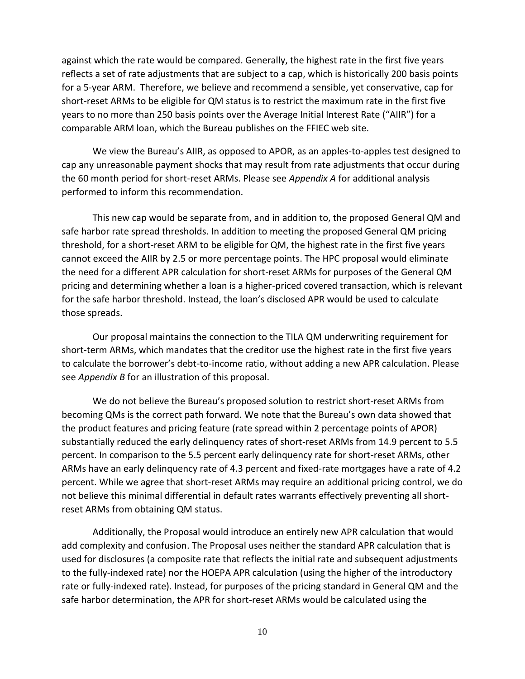against which the rate would be compared. Generally, the highest rate in the first five years reflects a set of rate adjustments that are subject to a cap, which is historically 200 basis points for a 5-year ARM. Therefore, we believe and recommend a sensible, yet conservative, cap for short-reset ARMs to be eligible for QM status is to restrict the maximum rate in the first five years to no more than 250 basis points over the Average Initial Interest Rate ("AIIR") for a comparable ARM loan, which the Bureau publishes on the FFIEC web site.

We view the Bureau's AIIR, as opposed to APOR, as an apples-to-apples test designed to cap any unreasonable payment shocks that may result from rate adjustments that occur during the 60 month period for short-reset ARMs. Please see *Appendix A* for additional analysis performed to inform this recommendation.

This new cap would be separate from, and in addition to, the proposed General QM and safe harbor rate spread thresholds. In addition to meeting the proposed General QM pricing threshold, for a short-reset ARM to be eligible for QM, the highest rate in the first five years cannot exceed the AIIR by 2.5 or more percentage points. The HPC proposal would eliminate the need for a different APR calculation for short-reset ARMs for purposes of the General QM pricing and determining whether a loan is a higher-priced covered transaction, which is relevant for the safe harbor threshold. Instead, the loan's disclosed APR would be used to calculate those spreads.

Our proposal maintains the connection to the TILA QM underwriting requirement for short-term ARMs, which mandates that the creditor use the highest rate in the first five years to calculate the borrower's debt-to-income ratio, without adding a new APR calculation. Please see *Appendix B* for an illustration of this proposal.

We do not believe the Bureau's proposed solution to restrict short-reset ARMs from becoming QMs is the correct path forward. We note that the Bureau's own data showed that the product features and pricing feature (rate spread within 2 percentage points of APOR) substantially reduced the early delinquency rates of short-reset ARMs from 14.9 percent to 5.5 percent. In comparison to the 5.5 percent early delinquency rate for short-reset ARMs, other ARMs have an early delinquency rate of 4.3 percent and fixed-rate mortgages have a rate of 4.2 percent. While we agree that short-reset ARMs may require an additional pricing control, we do not believe this minimal differential in default rates warrants effectively preventing all shortreset ARMs from obtaining QM status.

Additionally, the Proposal would introduce an entirely new APR calculation that would add complexity and confusion. The Proposal uses neither the standard APR calculation that is used for disclosures (a composite rate that reflects the initial rate and subsequent adjustments to the fully-indexed rate) nor the HOEPA APR calculation (using the higher of the introductory rate or fully-indexed rate). Instead, for purposes of the pricing standard in General QM and the safe harbor determination, the APR for short-reset ARMs would be calculated using the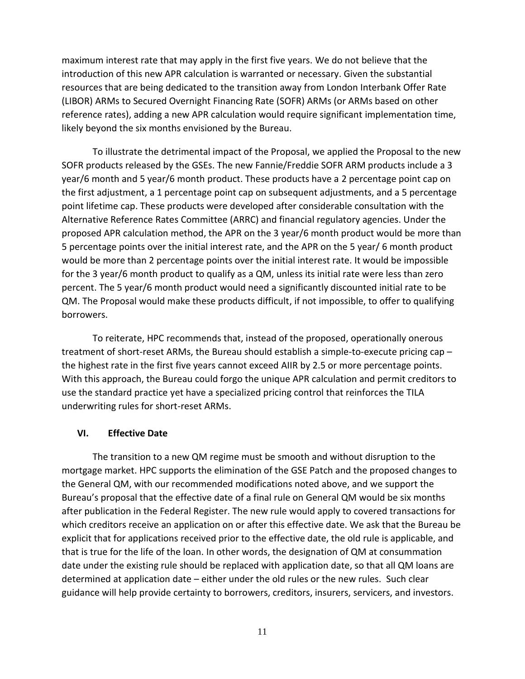maximum interest rate that may apply in the first five years. We do not believe that the introduction of this new APR calculation is warranted or necessary. Given the substantial resources that are being dedicated to the transition away from London Interbank Offer Rate (LIBOR) ARMs to Secured Overnight Financing Rate (SOFR) ARMs (or ARMs based on other reference rates), adding a new APR calculation would require significant implementation time, likely beyond the six months envisioned by the Bureau.

To illustrate the detrimental impact of the Proposal, we applied the Proposal to the new SOFR products released by the GSEs. The new Fannie/Freddie SOFR ARM products include a 3 year/6 month and 5 year/6 month product. These products have a 2 percentage point cap on the first adjustment, a 1 percentage point cap on subsequent adjustments, and a 5 percentage point lifetime cap. These products were developed after considerable consultation with the Alternative Reference Rates Committee (ARRC) and financial regulatory agencies. Under the proposed APR calculation method, the APR on the 3 year/6 month product would be more than 5 percentage points over the initial interest rate, and the APR on the 5 year/ 6 month product would be more than 2 percentage points over the initial interest rate. It would be impossible for the 3 year/6 month product to qualify as a QM, unless its initial rate were less than zero percent. The 5 year/6 month product would need a significantly discounted initial rate to be QM. The Proposal would make these products difficult, if not impossible, to offer to qualifying borrowers.

To reiterate, HPC recommends that, instead of the proposed, operationally onerous treatment of short-reset ARMs, the Bureau should establish a simple-to-execute pricing cap – the highest rate in the first five years cannot exceed AIIR by 2.5 or more percentage points. With this approach, the Bureau could forgo the unique APR calculation and permit creditors to use the standard practice yet have a specialized pricing control that reinforces the TILA underwriting rules for short-reset ARMs.

#### **VI. Effective Date**

The transition to a new QM regime must be smooth and without disruption to the mortgage market. HPC supports the elimination of the GSE Patch and the proposed changes to the General QM, with our recommended modifications noted above, and we support the Bureau's proposal that the effective date of a final rule on General QM would be six months after publication in the Federal Register. The new rule would apply to covered transactions for which creditors receive an application on or after this effective date. We ask that the Bureau be explicit that for applications received prior to the effective date, the old rule is applicable, and that is true for the life of the loan. In other words, the designation of QM at consummation date under the existing rule should be replaced with application date, so that all QM loans are determined at application date – either under the old rules or the new rules. Such clear guidance will help provide certainty to borrowers, creditors, insurers, servicers, and investors.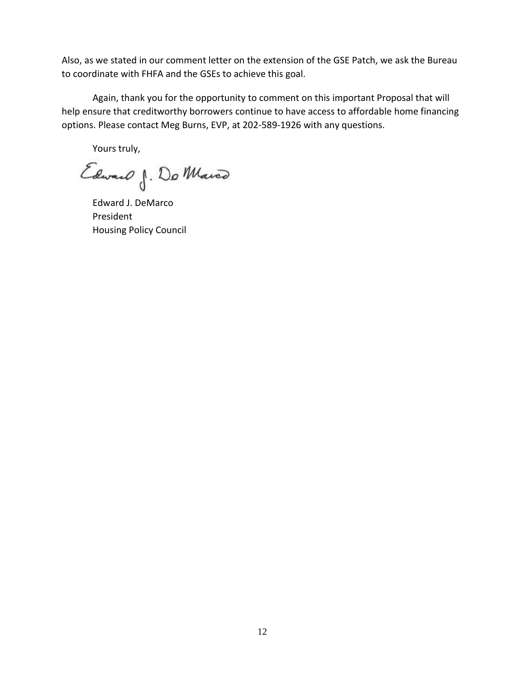Also, as we stated in our comment letter on the extension of the GSE Patch, we ask the Bureau to coordinate with FHFA and the GSEs to achieve this goal.

Again, thank you for the opportunity to comment on this important Proposal that will help ensure that creditworthy borrowers continue to have access to affordable home financing options. Please contact Meg Burns, EVP, at 202-589-1926 with any questions.

Yours truly,

Edward J. Do Marco

Edward J. DeMarco President Housing Policy Council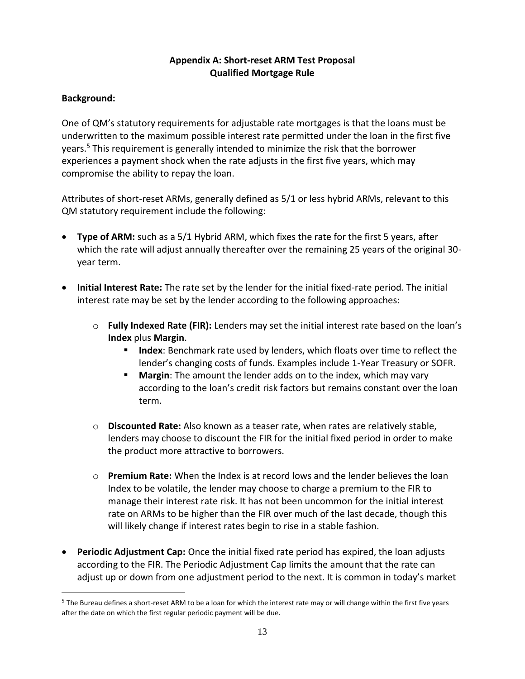### **Appendix A: Short-reset ARM Test Proposal Qualified Mortgage Rule**

## **Background:**

One of QM's statutory requirements for adjustable rate mortgages is that the loans must be underwritten to the maximum possible interest rate permitted under the loan in the first five years. <sup>5</sup> This requirement is generally intended to minimize the risk that the borrower experiences a payment shock when the rate adjusts in the first five years, which may compromise the ability to repay the loan.

Attributes of short-reset ARMs, generally defined as 5/1 or less hybrid ARMs, relevant to this QM statutory requirement include the following:

- **Type of ARM:** such as a 5/1 Hybrid ARM, which fixes the rate for the first 5 years, after which the rate will adjust annually thereafter over the remaining 25 years of the original 30 year term.
- **Initial Interest Rate:** The rate set by the lender for the initial fixed-rate period. The initial interest rate may be set by the lender according to the following approaches:
	- o **Fully Indexed Rate (FIR):** Lenders may set the initial interest rate based on the loan's **Index** plus **Margin**.
		- **Index:** Benchmark rate used by lenders, which floats over time to reflect the lender's changing costs of funds. Examples include 1-Year Treasury or SOFR.
		- **E** Margin: The amount the lender adds on to the index, which may vary according to the loan's credit risk factors but remains constant over the loan term.
	- o **Discounted Rate:** Also known as a teaser rate, when rates are relatively stable, lenders may choose to discount the FIR for the initial fixed period in order to make the product more attractive to borrowers.
	- o **Premium Rate:** When the Index is at record lows and the lender believes the loan Index to be volatile, the lender may choose to charge a premium to the FIR to manage their interest rate risk. It has not been uncommon for the initial interest rate on ARMs to be higher than the FIR over much of the last decade, though this will likely change if interest rates begin to rise in a stable fashion.
- **Periodic Adjustment Cap:** Once the initial fixed rate period has expired, the loan adjusts according to the FIR. The Periodic Adjustment Cap limits the amount that the rate can adjust up or down from one adjustment period to the next. It is common in today's market

 $^5$  The Bureau defines a short-reset ARM to be a loan for which the interest rate may or will change within the first five years after the date on which the first regular periodic payment will be due.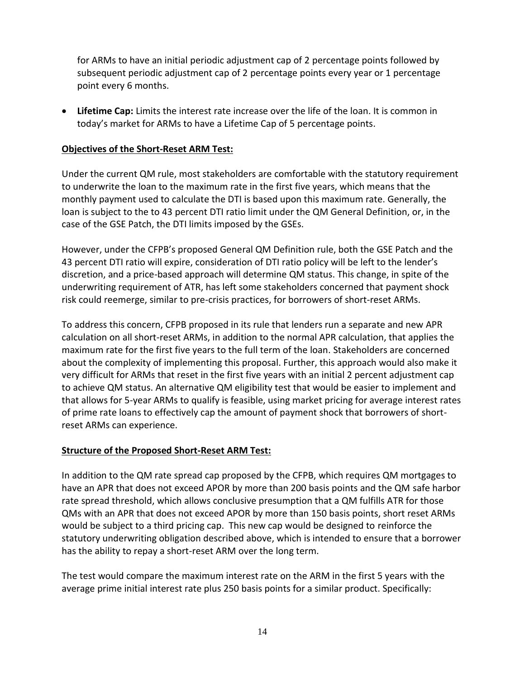for ARMs to have an initial periodic adjustment cap of 2 percentage points followed by subsequent periodic adjustment cap of 2 percentage points every year or 1 percentage point every 6 months.

• **Lifetime Cap:** Limits the interest rate increase over the life of the loan. It is common in today's market for ARMs to have a Lifetime Cap of 5 percentage points.

### **Objectives of the Short-Reset ARM Test:**

Under the current QM rule, most stakeholders are comfortable with the statutory requirement to underwrite the loan to the maximum rate in the first five years, which means that the monthly payment used to calculate the DTI is based upon this maximum rate. Generally, the loan is subject to the to 43 percent DTI ratio limit under the QM General Definition, or, in the case of the GSE Patch, the DTI limits imposed by the GSEs.

However, under the CFPB's proposed General QM Definition rule, both the GSE Patch and the 43 percent DTI ratio will expire, consideration of DTI ratio policy will be left to the lender's discretion, and a price-based approach will determine QM status. This change, in spite of the underwriting requirement of ATR, has left some stakeholders concerned that payment shock risk could reemerge, similar to pre-crisis practices, for borrowers of short-reset ARMs.

To address this concern, CFPB proposed in its rule that lenders run a separate and new APR calculation on all short-reset ARMs, in addition to the normal APR calculation, that applies the maximum rate for the first five years to the full term of the loan. Stakeholders are concerned about the complexity of implementing this proposal. Further, this approach would also make it very difficult for ARMs that reset in the first five years with an initial 2 percent adjustment cap to achieve QM status. An alternative QM eligibility test that would be easier to implement and that allows for 5-year ARMs to qualify is feasible, using market pricing for average interest rates of prime rate loans to effectively cap the amount of payment shock that borrowers of shortreset ARMs can experience.

#### **Structure of the Proposed Short-Reset ARM Test:**

In addition to the QM rate spread cap proposed by the CFPB, which requires QM mortgages to have an APR that does not exceed APOR by more than 200 basis points and the QM safe harbor rate spread threshold, which allows conclusive presumption that a QM fulfills ATR for those QMs with an APR that does not exceed APOR by more than 150 basis points, short reset ARMs would be subject to a third pricing cap. This new cap would be designed to reinforce the statutory underwriting obligation described above, which is intended to ensure that a borrower has the ability to repay a short-reset ARM over the long term.

The test would compare the maximum interest rate on the ARM in the first 5 years with the average prime initial interest rate plus 250 basis points for a similar product. Specifically: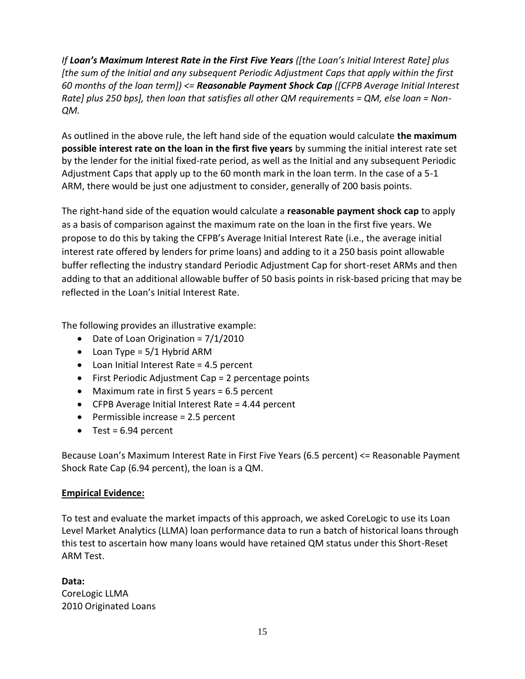*If Loan's Maximum Interest Rate in the First Five Years ([the Loan's Initial Interest Rate] plus [the sum of the Initial and any subsequent Periodic Adjustment Caps that apply within the first 60 months of the loan term]) <= Reasonable Payment Shock Cap ([CFPB Average Initial Interest Rate] plus 250 bps], then loan that satisfies all other QM requirements = QM, else loan = Non-QM.*

As outlined in the above rule, the left hand side of the equation would calculate **the maximum possible interest rate on the loan in the first five years** by summing the initial interest rate set by the lender for the initial fixed-rate period, as well as the Initial and any subsequent Periodic Adjustment Caps that apply up to the 60 month mark in the loan term. In the case of a 5-1 ARM, there would be just one adjustment to consider, generally of 200 basis points.

The right-hand side of the equation would calculate a **reasonable payment shock cap** to apply as a basis of comparison against the maximum rate on the loan in the first five years. We propose to do this by taking the CFPB's Average Initial Interest Rate (i.e., the average initial interest rate offered by lenders for prime loans) and adding to it a 250 basis point allowable buffer reflecting the industry standard Periodic Adjustment Cap for short-reset ARMs and then adding to that an additional allowable buffer of 50 basis points in risk-based pricing that may be reflected in the Loan's Initial Interest Rate.

The following provides an illustrative example:

- Date of Loan Origination =  $7/1/2010$
- Loan Type =  $5/1$  Hybrid ARM
- Loan Initial Interest Rate = 4.5 percent
- First Periodic Adjustment Cap = 2 percentage points
- Maximum rate in first 5 years = 6.5 percent
- CFPB Average Initial Interest Rate = 4.44 percent
- Permissible increase = 2.5 percent
- Test =  $6.94$  percent

Because Loan's Maximum Interest Rate in First Five Years (6.5 percent) <= Reasonable Payment Shock Rate Cap (6.94 percent), the loan is a QM.

### **Empirical Evidence:**

To test and evaluate the market impacts of this approach, we asked CoreLogic to use its Loan Level Market Analytics (LLMA) loan performance data to run a batch of historical loans through this test to ascertain how many loans would have retained QM status under this Short-Reset ARM Test.

**Data:** CoreLogic LLMA 2010 Originated Loans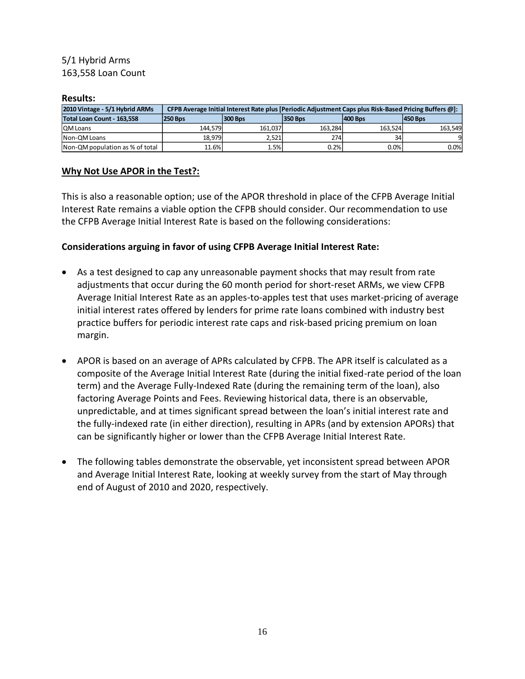## 5/1 Hybrid Arms 163,558 Loan Count

#### **Results:**

| 2010 Vintage - 5/1 Hybrid ARMs  |                |                | CFPB Average Initial Interest Rate plus [Periodic Adjustment Caps plus Risk-Based Pricing Buffers @]: |                |                |  |
|---------------------------------|----------------|----------------|-------------------------------------------------------------------------------------------------------|----------------|----------------|--|
| Total Loan Count - 163.558      | <b>250 Bps</b> | <b>300 Bps</b> | <b>350 Bps</b>                                                                                        | <b>400 Bps</b> | <b>450 Bps</b> |  |
| <b>IQM Loans</b>                | 144.579        | 161.037        | 163.284                                                                                               | 163.524        | 163.549        |  |
| Non-OM Loans                    | 18.979         | 2.521          | 274                                                                                                   | 34             |                |  |
| Non-QM population as % of total | 11.6%          | 1.5%           | 0.2%                                                                                                  | 0.0%           | 0.0%           |  |

#### **Why Not Use APOR in the Test?:**

This is also a reasonable option; use of the APOR threshold in place of the CFPB Average Initial Interest Rate remains a viable option the CFPB should consider. Our recommendation to use the CFPB Average Initial Interest Rate is based on the following considerations:

#### **Considerations arguing in favor of using CFPB Average Initial Interest Rate:**

- As a test designed to cap any unreasonable payment shocks that may result from rate adjustments that occur during the 60 month period for short-reset ARMs, we view CFPB Average Initial Interest Rate as an apples-to-apples test that uses market-pricing of average initial interest rates offered by lenders for prime rate loans combined with industry best practice buffers for periodic interest rate caps and risk-based pricing premium on loan margin.
- APOR is based on an average of APRs calculated by CFPB. The APR itself is calculated as a composite of the Average Initial Interest Rate (during the initial fixed-rate period of the loan term) and the Average Fully-Indexed Rate (during the remaining term of the loan), also factoring Average Points and Fees. Reviewing historical data, there is an observable, unpredictable, and at times significant spread between the loan's initial interest rate and the fully-indexed rate (in either direction), resulting in APRs (and by extension APORs) that can be significantly higher or lower than the CFPB Average Initial Interest Rate.
- The following tables demonstrate the observable, yet inconsistent spread between APOR and Average Initial Interest Rate, looking at weekly survey from the start of May through end of August of 2010 and 2020, respectively.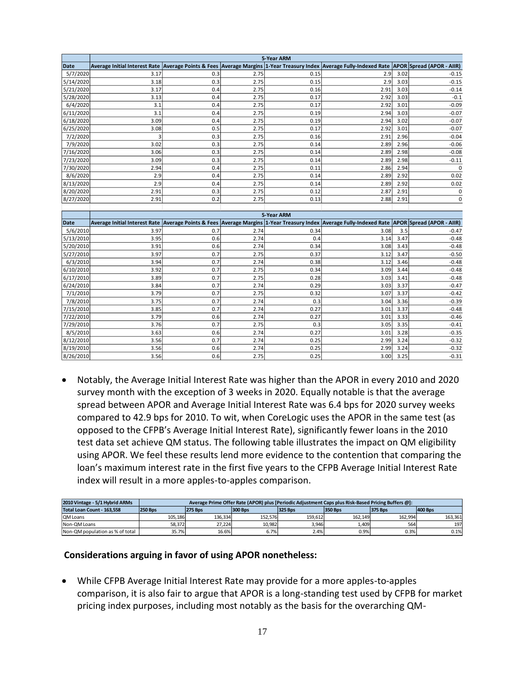|           | 5-Year ARM                                                                                                                                     |     |      |              |      |      |                    |  |  |
|-----------|------------------------------------------------------------------------------------------------------------------------------------------------|-----|------|--------------|------|------|--------------------|--|--|
| Date      | Average Initial Interest Rate Average Points & Fees Average Margins 1-Year Treasury Index Average Fully-Indexed Rate APOR Spread (APOR - AIIR) |     |      |              |      |      |                    |  |  |
| 5/7/2020  | 3.17                                                                                                                                           | 0.3 | 2.75 | 0.15         | 2.9  | 3.02 | $-0.15$            |  |  |
| 5/14/2020 | 3.18                                                                                                                                           | 0.3 | 2.75 | 0.15         | 2.9  | 3.03 | $-0.15$            |  |  |
| 5/21/2020 | 3.17                                                                                                                                           | 0.4 | 2.75 | 0.16         | 2.91 | 3.03 | $-0.14$            |  |  |
| 5/28/2020 | 3.13                                                                                                                                           | 0.4 | 2.75 | 0.17         | 2.92 | 3.03 | $-0.1$             |  |  |
| 6/4/2020  | 3.1                                                                                                                                            | 0.4 | 2.75 | 0.17         | 2.92 | 3.01 | $-0.09$            |  |  |
| 6/11/2020 | 3.1                                                                                                                                            | 0.4 | 2.75 | 0.19         | 2.94 | 3.03 | $-0.07$            |  |  |
| 6/18/2020 | 3.09                                                                                                                                           | 0.4 | 2.75 | 0.19         | 2.94 | 3.02 | $-0.07$            |  |  |
| 6/25/2020 | 3.08                                                                                                                                           | 0.5 | 2.75 | 0.17         | 2.92 | 3.01 | $-0.07$            |  |  |
| 7/2/2020  | 3                                                                                                                                              | 0.3 | 2.75 | 0.16         | 2.91 | 2.96 | $-0.04$            |  |  |
| 7/9/2020  | 3.02                                                                                                                                           | 0.3 | 2.75 | 0.14         | 2.89 | 2.96 | $-0.06$            |  |  |
| 7/16/2020 | 3.06                                                                                                                                           | 0.3 | 2.75 | 0.14         | 2.89 | 2.98 | $-0.08$            |  |  |
| 7/23/2020 | 3.09                                                                                                                                           | 0.3 | 2.75 | 0.14         | 2.89 | 2.98 | $-0.11$            |  |  |
| 7/30/2020 | 2.94                                                                                                                                           | 0.4 | 2.75 | 0.11         | 2.86 | 2.94 | $\Omega$           |  |  |
| 8/6/2020  | 2.9                                                                                                                                            | 0.4 | 2.75 | 0.14         | 2.89 | 2.92 | 0.02               |  |  |
| 8/13/2020 | 2.9                                                                                                                                            | 0.4 | 2.75 | 0.14         | 2.89 | 2.92 | 0.02               |  |  |
| 8/20/2020 | 2.91                                                                                                                                           | 0.3 | 2.75 | 0.12         | 2.87 | 2.91 | 0                  |  |  |
| 8/27/2020 | 2.91                                                                                                                                           | 0.2 | 2.75 | 0.13         | 2.88 | 2.91 | 0                  |  |  |
|           |                                                                                                                                                |     |      |              |      |      |                    |  |  |
|           |                                                                                                                                                |     |      | 5-Year ARM   |      |      |                    |  |  |
| Date      | Average Initial Interest Rate Average Points & Fees Average Margins 1-Year Treasury Index Average Fully-Indexed Rate APOR Spread (APOR - AIIR) |     |      |              |      |      |                    |  |  |
| 5/6/2010  | 3.97                                                                                                                                           | 0.7 | 2.74 | 0.34         | 3.08 | 3.5  | $-0.47$            |  |  |
| 5/13/2010 | 3.95                                                                                                                                           | 0.6 | 2.74 | 0.4          | 3.14 | 3.47 | $-0.48$            |  |  |
| 5/20/2010 | 3.91                                                                                                                                           | 0.6 | 2.74 | 0.34         | 3.08 | 3.43 | $-0.48$            |  |  |
| 5/27/2010 | 3.97                                                                                                                                           | 0.7 | 2.75 | 0.37         | 3.12 |      |                    |  |  |
| 6/3/2010  | 3.94                                                                                                                                           |     |      |              |      | 3.47 | $-0.50$            |  |  |
| 6/10/2010 |                                                                                                                                                | 0.7 | 2.74 | 0.38         | 3.12 | 3.46 | $-0.48$            |  |  |
|           | 3.92                                                                                                                                           | 0.7 | 2.75 | 0.34         | 3.09 | 3.44 | $-0.48$            |  |  |
| 6/17/2010 | 3.89                                                                                                                                           | 0.7 | 2.75 | 0.28         | 3.03 | 3.41 | $-0.48$            |  |  |
| 6/24/2010 | 3.84                                                                                                                                           | 0.7 | 2.74 | 0.29         | 3.03 | 3.37 | $-0.47$            |  |  |
| 7/1/2010  | 3.79                                                                                                                                           | 0.7 | 2.75 | 0.32         | 3.07 | 3.37 | $-0.42$            |  |  |
| 7/8/2010  | 3.75                                                                                                                                           | 0.7 | 2.74 | 0.3          | 3.04 | 3.36 | $-0.39$            |  |  |
| 7/15/2010 | 3.85                                                                                                                                           | 0.7 | 2.74 | 0.27         | 3.01 | 3.37 | $-0.48$            |  |  |
| 7/22/2010 | 3.79                                                                                                                                           | 0.6 | 2.74 | 0.27         | 3.01 | 3.33 | $-0.46$            |  |  |
| 7/29/2010 | 3.76                                                                                                                                           | 0.7 | 2.75 | 0.3          | 3.05 | 3.35 | $-0.41$            |  |  |
| 8/5/2010  | 3.63                                                                                                                                           | 0.6 | 2.74 | 0.27         | 3.01 | 3.28 | $-0.35$            |  |  |
| 8/12/2010 | 3.56                                                                                                                                           | 0.7 | 2.74 | 0.25         | 2.99 | 3.24 | $-0.32$            |  |  |
| 8/19/2010 | 3.56                                                                                                                                           | 0.6 | 2.74 | 0.25<br>0.25 | 2.99 | 3.24 | $-0.32$<br>$-0.31$ |  |  |

• Notably, the Average Initial Interest Rate was higher than the APOR in every 2010 and 2020 survey month with the exception of 3 weeks in 2020. Equally notable is that the average spread between APOR and Average Initial Interest Rate was 6.4 bps for 2020 survey weeks compared to 42.9 bps for 2010. To wit, when CoreLogic uses the APOR in the same test (as opposed to the CFPB's Average Initial Interest Rate), significantly fewer loans in the 2010 test data set achieve QM status. The following table illustrates the impact on QM eligibility using APOR. We feel these results lend more evidence to the contention that comparing the loan's maximum interest rate in the first five years to the CFPB Average Initial Interest Rate index will result in a more apples-to-apples comparison.

| 2010 Vintage - 5/1 Hybrid ARMs  | Average Prime Offer Rate (APOR) plus [Periodic Adjustment Caps plus Risk-Based Pricing Buffers @]: |                |                |                |                |                |         |
|---------------------------------|----------------------------------------------------------------------------------------------------|----------------|----------------|----------------|----------------|----------------|---------|
| Total Loan Count - 163.558      | <b>250 Bps</b>                                                                                     | <b>275 Bps</b> | <b>300 Bps</b> | <b>325 Bps</b> | <b>350 Bps</b> | <b>375 Bps</b> | 400 Bps |
| <b>QM Loans</b>                 | 105.186                                                                                            | 136.334        | 152.576        | 159.612        | 162.149        | 162.994        | 163.361 |
| Non-OM Loans                    | 58.372                                                                                             | 27.224         | 10,982         | 3.946          | 1,409          | 564            | 197     |
| Non-QM population as % of total | 35.7%                                                                                              | 16.6%          | 6.7%           | 2.4%           | 0.9%           | 0.3%           | 0.1%    |

#### **Considerations arguing in favor of using APOR nonetheless:**

• While CFPB Average Initial Interest Rate may provide for a more apples-to-apples comparison, it is also fair to argue that APOR is a long-standing test used by CFPB for market pricing index purposes, including most notably as the basis for the overarching QM-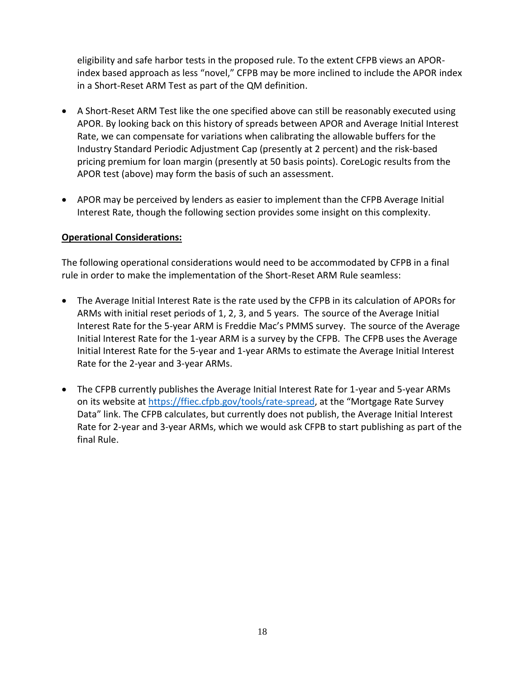eligibility and safe harbor tests in the proposed rule. To the extent CFPB views an APORindex based approach as less "novel," CFPB may be more inclined to include the APOR index in a Short-Reset ARM Test as part of the QM definition.

- A Short-Reset ARM Test like the one specified above can still be reasonably executed using APOR. By looking back on this history of spreads between APOR and Average Initial Interest Rate, we can compensate for variations when calibrating the allowable buffers for the Industry Standard Periodic Adjustment Cap (presently at 2 percent) and the risk-based pricing premium for loan margin (presently at 50 basis points). CoreLogic results from the APOR test (above) may form the basis of such an assessment.
- APOR may be perceived by lenders as easier to implement than the CFPB Average Initial Interest Rate, though the following section provides some insight on this complexity.

### **Operational Considerations:**

The following operational considerations would need to be accommodated by CFPB in a final rule in order to make the implementation of the Short-Reset ARM Rule seamless:

- The Average Initial Interest Rate is the rate used by the CFPB in its calculation of APORs for ARMs with initial reset periods of 1, 2, 3, and 5 years. The source of the Average Initial Interest Rate for the 5-year ARM is Freddie Mac's PMMS survey. The source of the Average Initial Interest Rate for the 1-year ARM is a survey by the CFPB. The CFPB uses the Average Initial Interest Rate for the 5-year and 1-year ARMs to estimate the Average Initial Interest Rate for the 2-year and 3-year ARMs.
- The CFPB currently publishes the Average Initial Interest Rate for 1-year and 5-year ARMs on its website at<https://ffiec.cfpb.gov/tools/rate-spread>, at the "Mortgage Rate Survey Data" link. The CFPB calculates, but currently does not publish, the Average Initial Interest Rate for 2-year and 3-year ARMs, which we would ask CFPB to start publishing as part of the final Rule.